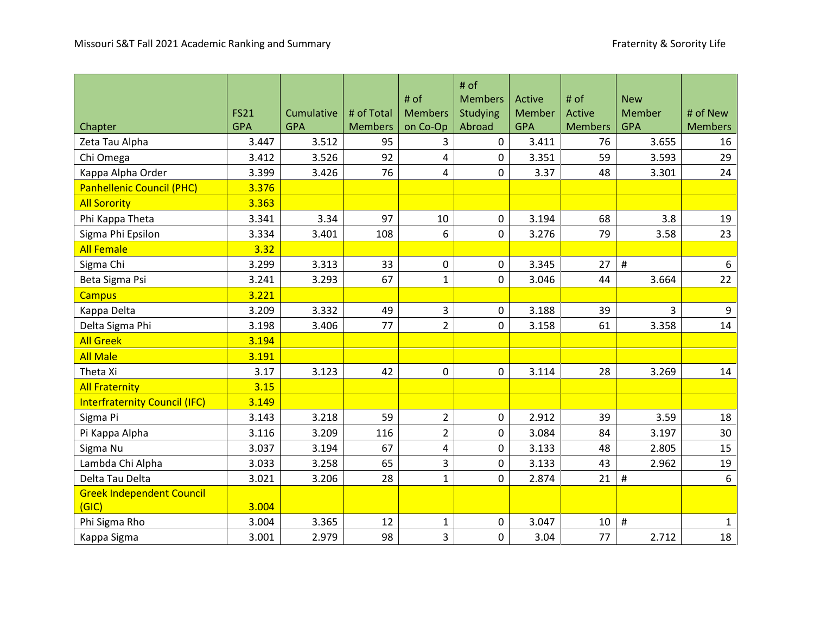|                                           |             |            |                | # of           | # $of$                     |                  | # of           | <b>New</b> |                |
|-------------------------------------------|-------------|------------|----------------|----------------|----------------------------|------------------|----------------|------------|----------------|
|                                           | <b>FS21</b> | Cumulative | # of Total     | <b>Members</b> | <b>Members</b><br>Studying | Active<br>Member | Active         | Member     | # of New       |
| Chapter                                   | <b>GPA</b>  | <b>GPA</b> | <b>Members</b> | on Co-Op       | Abroad                     | <b>GPA</b>       | <b>Members</b> | <b>GPA</b> | <b>Members</b> |
| Zeta Tau Alpha                            | 3.447       | 3.512      | 95             | 3              | 0                          | 3.411            | 76             | 3.655      | 16             |
| Chi Omega                                 | 3.412       | 3.526      | 92             | 4              | 0                          | 3.351            | 59             | 3.593      | 29             |
| Kappa Alpha Order                         | 3.399       | 3.426      | 76             | 4              | 0                          | 3.37             | 48             | 3.301      | 24             |
| <b>Panhellenic Council (PHC)</b>          | 3.376       |            |                |                |                            |                  |                |            |                |
| <b>All Sorority</b>                       | 3.363       |            |                |                |                            |                  |                |            |                |
| Phi Kappa Theta                           | 3.341       | 3.34       | 97             | 10             | 0                          | 3.194            | 68             | 3.8        | 19             |
| Sigma Phi Epsilon                         | 3.334       | 3.401      | 108            | 6              | 0                          | 3.276            | 79             | 3.58       | 23             |
| <b>All Female</b>                         | 3.32        |            |                |                |                            |                  |                |            |                |
| Sigma Chi                                 | 3.299       | 3.313      | 33             | 0              | 0                          | 3.345            | 27             | $\#$       | $6\,$          |
| Beta Sigma Psi                            | 3.241       | 3.293      | 67             | $\mathbf{1}$   | 0                          | 3.046            | 44             | 3.664      | 22             |
| <b>Campus</b>                             | 3.221       |            |                |                |                            |                  |                |            |                |
| Kappa Delta                               | 3.209       | 3.332      | 49             | 3              | 0                          | 3.188            | 39             | 3          | 9              |
| Delta Sigma Phi                           | 3.198       | 3.406      | 77             | $\overline{2}$ | 0                          | 3.158            | 61             | 3.358      | 14             |
| <b>All Greek</b>                          | 3.194       |            |                |                |                            |                  |                |            |                |
| <b>All Male</b>                           | 3.191       |            |                |                |                            |                  |                |            |                |
| Theta Xi                                  | 3.17        | 3.123      | 42             | 0              | 0                          | 3.114            | 28             | 3.269      | 14             |
| <b>All Fraternity</b>                     | 3.15        |            |                |                |                            |                  |                |            |                |
| <b>Interfraternity Council (IFC)</b>      | 3.149       |            |                |                |                            |                  |                |            |                |
| Sigma Pi                                  | 3.143       | 3.218      | 59             | $\overline{2}$ | 0                          | 2.912            | 39             | 3.59       | 18             |
| Pi Kappa Alpha                            | 3.116       | 3.209      | 116            | $\overline{2}$ | 0                          | 3.084            | 84             | 3.197      | 30             |
| Sigma Nu                                  | 3.037       | 3.194      | 67             | 4              | 0                          | 3.133            | 48             | 2.805      | 15             |
| Lambda Chi Alpha                          | 3.033       | 3.258      | 65             | $\overline{3}$ | 0                          | 3.133            | 43             | 2.962      | 19             |
| Delta Tau Delta                           | 3.021       | 3.206      | 28             | $\mathbf{1}$   | 0                          | 2.874            | 21             | $\sharp$   | 6              |
| <b>Greek Independent Council</b><br>(GIC) | 3.004       |            |                |                |                            |                  |                |            |                |
| Phi Sigma Rho                             | 3.004       | 3.365      | 12             | $\mathbf{1}$   | 0                          | 3.047            | 10             | $\#$       | $\mathbf{1}$   |
| Kappa Sigma                               | 3.001       | 2.979      | 98             | $\overline{3}$ | 0                          | 3.04             | 77             | 2.712      | 18             |

,我们也不会有什么。""我们的人,我们也不会有什么?""我们的人,我们也不会有什么?""我们的人,我们也不会有什么?""我们的人,我们也不会有什么?""我们的人